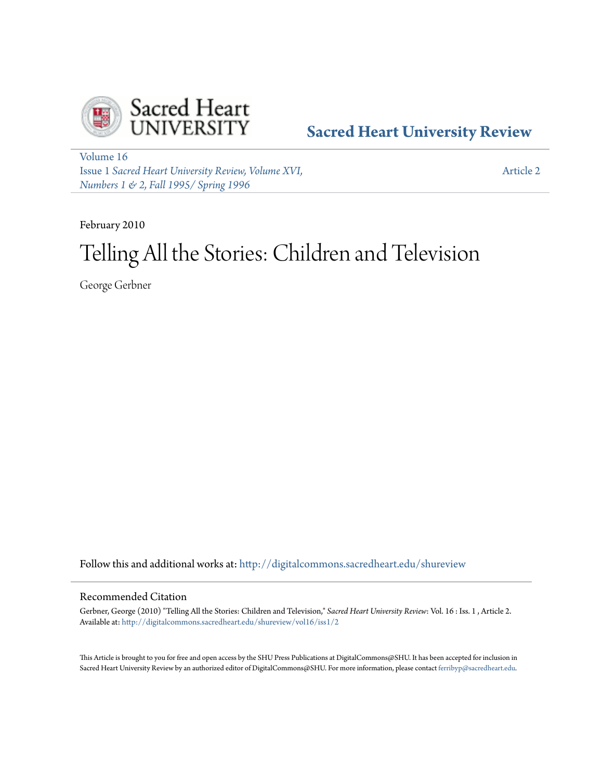

# **[Sacred Heart University Review](http://digitalcommons.sacredheart.edu/shureview?utm_source=digitalcommons.sacredheart.edu%2Fshureview%2Fvol16%2Fiss1%2F2&utm_medium=PDF&utm_campaign=PDFCoverPages)**

[Volume 16](http://digitalcommons.sacredheart.edu/shureview/vol16?utm_source=digitalcommons.sacredheart.edu%2Fshureview%2Fvol16%2Fiss1%2F2&utm_medium=PDF&utm_campaign=PDFCoverPages) Issue 1 *[Sacred Heart University Review, Volume XVI,](http://digitalcommons.sacredheart.edu/shureview/vol16/iss1?utm_source=digitalcommons.sacredheart.edu%2Fshureview%2Fvol16%2Fiss1%2F2&utm_medium=PDF&utm_campaign=PDFCoverPages) [Numbers 1 & 2, Fall 1995/ Spring 1996](http://digitalcommons.sacredheart.edu/shureview/vol16/iss1?utm_source=digitalcommons.sacredheart.edu%2Fshureview%2Fvol16%2Fiss1%2F2&utm_medium=PDF&utm_campaign=PDFCoverPages)*

[Article 2](http://digitalcommons.sacredheart.edu/shureview/vol16/iss1/2?utm_source=digitalcommons.sacredheart.edu%2Fshureview%2Fvol16%2Fiss1%2F2&utm_medium=PDF&utm_campaign=PDFCoverPages)

February 2010

# Telling All the Stories: Children and Television

George Gerbner

Follow this and additional works at: [http://digitalcommons.sacredheart.edu/shureview](http://digitalcommons.sacredheart.edu/shureview?utm_source=digitalcommons.sacredheart.edu%2Fshureview%2Fvol16%2Fiss1%2F2&utm_medium=PDF&utm_campaign=PDFCoverPages)

### Recommended Citation

Gerbner, George (2010) "Telling All the Stories: Children and Television," *Sacred Heart University Review*: Vol. 16 : Iss. 1 , Article 2. Available at: [http://digitalcommons.sacredheart.edu/shureview/vol16/iss1/2](http://digitalcommons.sacredheart.edu/shureview/vol16/iss1/2?utm_source=digitalcommons.sacredheart.edu%2Fshureview%2Fvol16%2Fiss1%2F2&utm_medium=PDF&utm_campaign=PDFCoverPages)

This Article is brought to you for free and open access by the SHU Press Publications at DigitalCommons@SHU. It has been accepted for inclusion in Sacred Heart University Review by an authorized editor of DigitalCommons@SHU. For more information, please contact [ferribyp@sacredheart.edu](mailto:ferribyp@sacredheart.edu).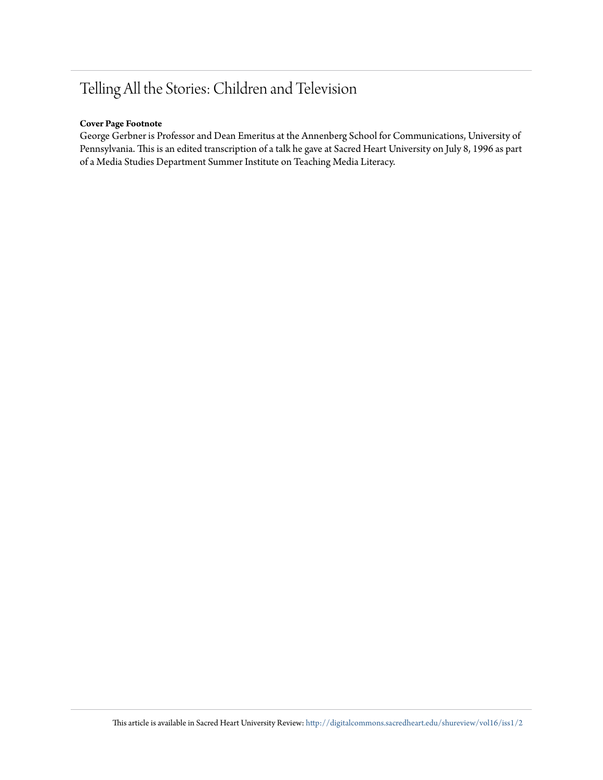# Telling All the Stories: Children and Television

## **Cover Page Footnote**

George Gerbner is Professor and Dean Emeritus at the Annenberg School for Communications, University of Pennsylvania. This is an edited transcription of a talk he gave at Sacred Heart University on July 8, 1996 as part of a Media Studies Department Summer Institute on Teaching Media Literacy.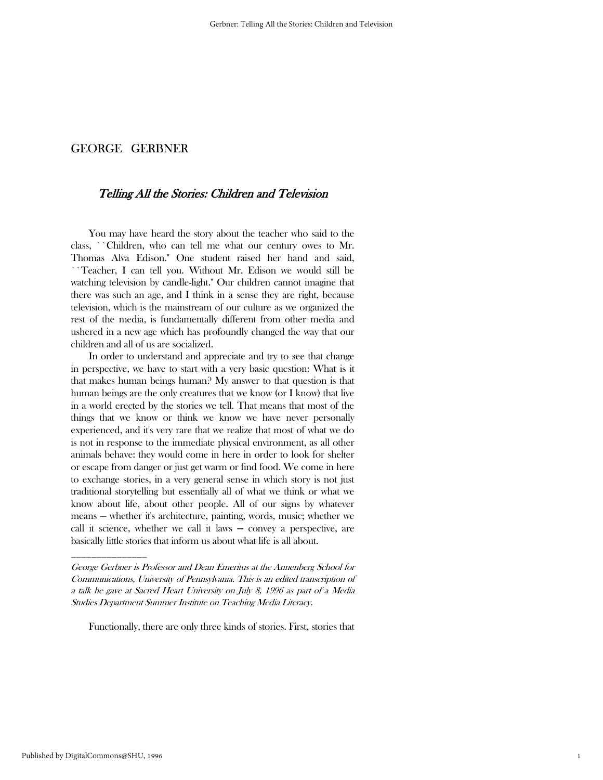# Telling All the Stories: Children and Television

 You may have heard the story about the teacher who said to the class, ``Children, who can tell me what our century owes to Mr. Thomas Alva Edison.'' One student raised her hand and said, ``Teacher, I can tell you. Without Mr. Edison we would still be watching television by candle-light.'' Our children cannot imagine that there was such an age, and I think in a sense they are right, because television, which is the mainstream of our culture as we organized the rest of the media, is fundamentally different from other media and ushered in a new age which has profoundly changed the way that our children and all of us are socialized.

 In order to understand and appreciate and try to see that change in perspective, we have to start with a very basic question: What is it that makes human beings human? My answer to that question is that human beings are the only creatures that we know (or I know) that live in a world erected by the stories we tell. That means that most of the things that we know or think we know we have never personally experienced, and it's very rare that we realize that most of what we do is not in response to the immediate physical environment, as all other animals behave: they would come in here in order to look for shelter or escape from danger or just get warm or find food. We come in here to exchange stories, in a very general sense in which story is not just traditional storytelling but essentially all of what we think or what we know about life, about other people. All of our signs by whatever means ─ whether it's architecture, painting, words, music; whether we call it science, whether we call it laws  $-$  convey a perspective, are basically little stories that inform us about what life is all about.

Functionally, there are only three kinds of stories. First, stories that

\_\_\_\_\_\_\_\_\_\_\_\_\_\_\_

George Gerbner is Professor and Dean Emeritus at the Annenberg School for Communications, University of Pennsylvania. This is an edited transcription of a talk he gave at Sacred Heart University on July 8, 1996 as part of a Media Studies Department Summer Institute on Teaching Media Literacy.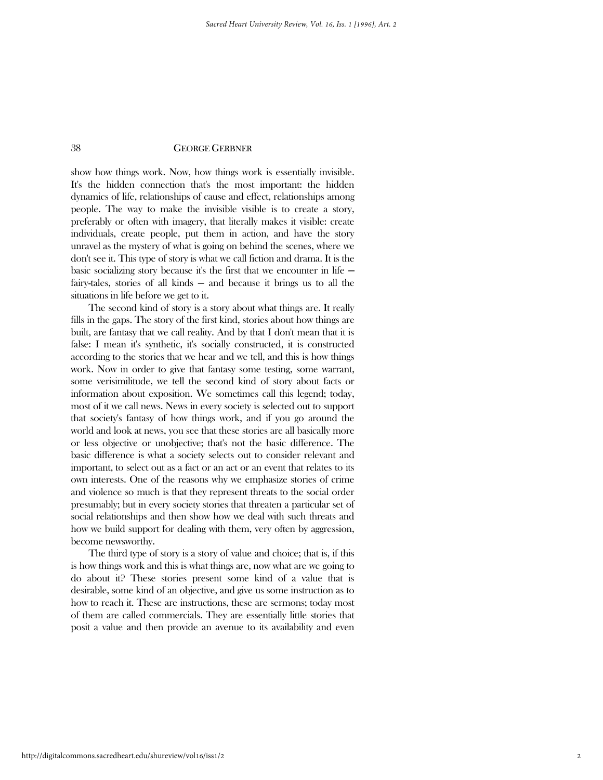show how things work. Now, how things work is essentially invisible. It's the hidden connection that's the most important: the hidden dynamics of life, relationships of cause and effect, relationships among people. The way to make the invisible visible is to create a story, preferably or often with imagery, that literally makes it visible: create individuals, create people, put them in action, and have the story unravel as the mystery of what is going on behind the scenes, where we don't see it. This type of story is what we call fiction and drama. It is the basic socializing story because it's the first that we encounter in life  $$ fairy-tales, stories of all kinds  $-$  and because it brings us to all the situations in life before we get to it.

 The second kind of story is a story about what things are. It really fills in the gaps. The story of the first kind, stories about how things are built, are fantasy that we call reality. And by that I don't mean that it is false: I mean it's synthetic, it's socially constructed, it is constructed according to the stories that we hear and we tell, and this is how things work. Now in order to give that fantasy some testing, some warrant, some verisimilitude, we tell the second kind of story about facts or information about exposition. We sometimes call this legend; today, most of it we call news. News in every society is selected out to support that society's fantasy of how things work, and if you go around the world and look at news, you see that these stories are all basically more or less objective or unobjective; that's not the basic difference. The basic difference is what a society selects out to consider relevant and important, to select out as a fact or an act or an event that relates to its own interests. One of the reasons why we emphasize stories of crime and violence so much is that they represent threats to the social order presumably; but in every society stories that threaten a particular set of social relationships and then show how we deal with such threats and how we build support for dealing with them, very often by aggression, become newsworthy.

 The third type of story is a story of value and choice; that is, if this is how things work and this is what things are, now what are we going to do about it? These stories present some kind of a value that is desirable, some kind of an objective, and give us some instruction as to how to reach it. These are instructions, these are sermons; today most of them are called commercials. They are essentially little stories that posit a value and then provide an avenue to its availability and even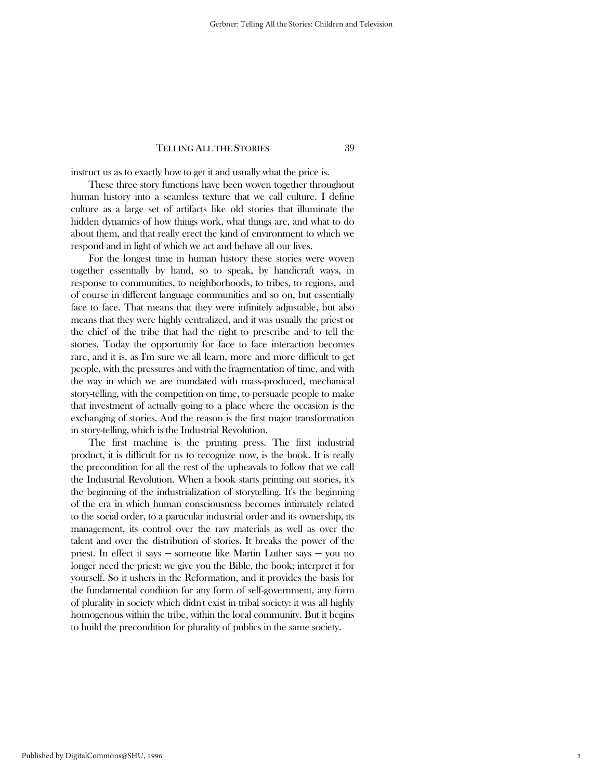instruct us as to exactly how to get it and usually what the price is.

 These three story functions have been woven together throughout human history into a seamless texture that we call culture. I define culture as a large set of artifacts like old stories that illuminate the hidden dynamics of how things work, what things are, and what to do about them, and that really erect the kind of environment to which we respond and in light of which we act and behave all our lives.

 For the longest time in human history these stories were woven together essentially by hand, so to speak, by handicraft ways, in response to communities, to neighborhoods, to tribes, to regions, and of course in different language communities and so on, but essentially face to face. That means that they were infinitely adjustable, but also means that they were highly centralized, and it was usually the priest or the chief of the tribe that had the right to prescribe and to tell the stories. Today the opportunity for face to face interaction becomes rare, and it is, as I'm sure we all learn, more and more difficult to get people, with the pressures and with the fragmentation of time, and with the way in which we are inundated with mass-produced, mechanical story-telling, with the competition on time, to persuade people to make that investment of actually going to a place where the occasion is the exchanging of stories. And the reason is the first major transformation in story-telling, which is the Industrial Revolution.

 The first machine is the printing press. The first industrial product, it is difficult for us to recognize now, is the book. It is really the precondition for all the rest of the upheavals to follow that we call the Industrial Revolution. When a book starts printing out stories, it's the beginning of the industrialization of storytelling. It's the beginning of the era in which human consciousness becomes intimately related to the social order, to a particular industrial order and its ownership, its management, its control over the raw materials as well as over the talent and over the distribution of stories. It breaks the power of the priest. In effect it says ─ someone like Martin Luther says ─ you no longer need the priest: we give you the Bible, the book; interpret it for yourself. So it ushers in the Reformation, and it provides the basis for the fundamental condition for any form of self-government, any form of plurality in society which didn't exist in tribal society: it was all highly homogenous within the tribe, within the local community. But it begins to build the precondition for plurality of publics in the same society.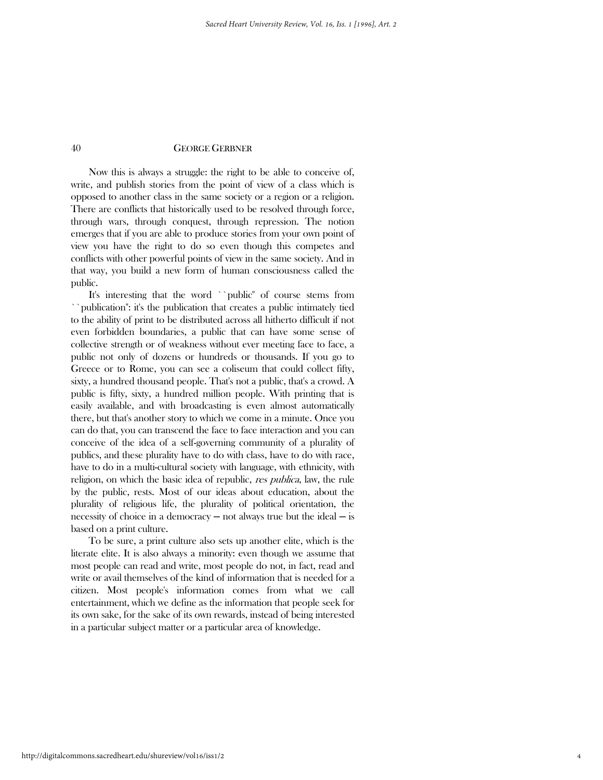Now this is always a struggle: the right to be able to conceive of, write, and publish stories from the point of view of a class which is opposed to another class in the same society or a region or a religion. There are conflicts that historically used to be resolved through force, through wars, through conquest, through repression. The notion emerges that if you are able to produce stories from your own point of view you have the right to do so even though this competes and conflicts with other powerful points of view in the same society. And in that way, you build a new form of human consciousness called the public.

 It's interesting that the word ``public'' of course stems from ``publication'': it's the publication that creates a public intimately tied to the ability of print to be distributed across all hitherto difficult if not even forbidden boundaries, a public that can have some sense of collective strength or of weakness without ever meeting face to face, a public not only of dozens or hundreds or thousands. If you go to Greece or to Rome, you can see a coliseum that could collect fifty, sixty, a hundred thousand people. That's not a public, that's a crowd. A public is fifty, sixty, a hundred million people. With printing that is easily available, and with broadcasting is even almost automatically there, but that's another story to which we come in a minute. Once you can do that, you can transcend the face to face interaction and you can conceive of the idea of a self-governing community of a plurality of publics, and these plurality have to do with class, have to do with race, have to do in a multi-cultural society with language, with ethnicity, with religion, on which the basic idea of republic, res publica, law, the rule by the public, rests. Most of our ideas about education, about the plurality of religious life, the plurality of political orientation, the necessity of choice in a democracy  $-$  not always true but the ideal  $-$  is based on a print culture.

 To be sure, a print culture also sets up another elite, which is the literate elite. It is also always a minority: even though we assume that most people can read and write, most people do not, in fact, read and write or avail themselves of the kind of information that is needed for a citizen. Most people's information comes from what we call entertainment, which we define as the information that people seek for its own sake, for the sake of its own rewards, instead of being interested in a particular subject matter or a particular area of knowledge.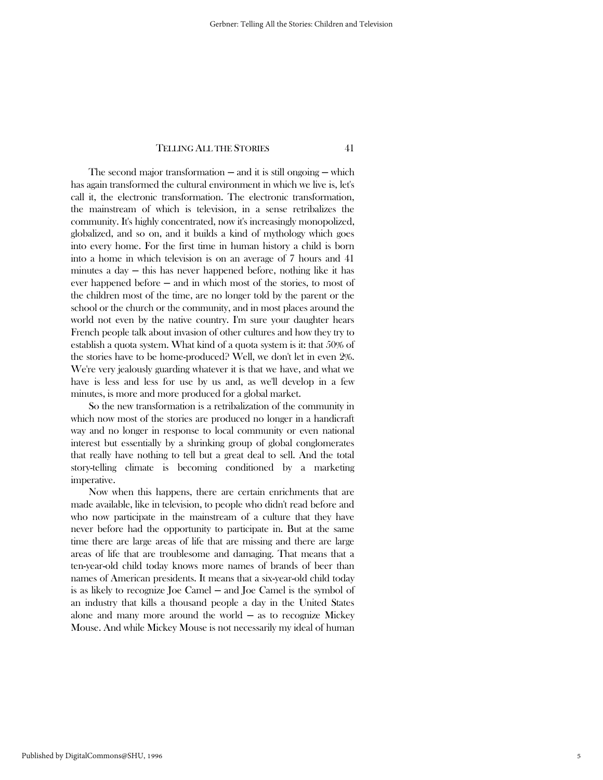The second major transformation  $-$  and it is still ongoing  $-$  which has again transformed the cultural environment in which we live is, let's call it, the electronic transformation. The electronic transformation, the mainstream of which is television, in a sense retribalizes the community. It's highly concentrated, now it's increasingly monopolized, globalized, and so on, and it builds a kind of mythology which goes into every home. For the first time in human history a child is born into a home in which television is on an average of 7 hours and 41 minutes a day ─ this has never happened before, nothing like it has ever happened before — and in which most of the stories, to most of the children most of the time, are no longer told by the parent or the school or the church or the community, and in most places around the world not even by the native country. I'm sure your daughter hears French people talk about invasion of other cultures and how they try to establish a quota system. What kind of a quota system is it: that 50% of the stories have to be home-produced? Well, we don't let in even 2%. We're very jealously guarding whatever it is that we have, and what we have is less and less for use by us and, as we'll develop in a few minutes, is more and more produced for a global market.

 So the new transformation is a retribalization of the community in which now most of the stories are produced no longer in a handicraft way and no longer in response to local community or even national interest but essentially by a shrinking group of global conglomerates that really have nothing to tell but a great deal to sell. And the total story-telling climate is becoming conditioned by a marketing imperative.

 Now when this happens, there are certain enrichments that are made available, like in television, to people who didn't read before and who now participate in the mainstream of a culture that they have never before had the opportunity to participate in. But at the same time there are large areas of life that are missing and there are large areas of life that are troublesome and damaging. That means that a ten-year-old child today knows more names of brands of beer than names of American presidents. It means that a six-year-old child today is as likely to recognize Joe Camel ─ and Joe Camel is the symbol of an industry that kills a thousand people a day in the United States alone and many more around the world  $-$  as to recognize Mickey Mouse. And while Mickey Mouse is not necessarily my ideal of human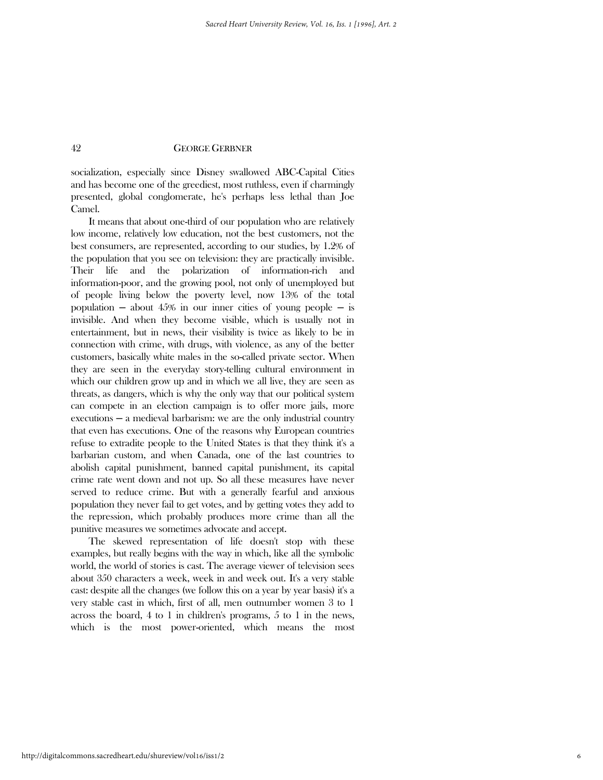socialization, especially since Disney swallowed ABC-Capital Cities and has become one of the greediest, most ruthless, even if charmingly presented, global conglomerate, he's perhaps less lethal than Joe Camel.

 It means that about one-third of our population who are relatively low income, relatively low education, not the best customers, not the best consumers, are represented, according to our studies, by 1.2% of the population that you see on television: they are practically invisible. Their life and the polarization of information-rich and information-poor, and the growing pool, not only of unemployed but of people living below the poverty level, now 13% of the total population  $-$  about 45% in our inner cities of young people  $-$  is invisible. And when they become visible, which is usually not in entertainment, but in news, their visibility is twice as likely to be in connection with crime, with drugs, with violence, as any of the better customers, basically white males in the so-called private sector. When they are seen in the everyday story-telling cultural environment in which our children grow up and in which we all live, they are seen as threats, as dangers, which is why the only way that our political system can compete in an election campaign is to offer more jails, more executions — a medieval barbarism: we are the only industrial country that even has executions. One of the reasons why European countries refuse to extradite people to the United States is that they think it's a barbarian custom, and when Canada, one of the last countries to abolish capital punishment, banned capital punishment, its capital crime rate went down and not up. So all these measures have never served to reduce crime. But with a generally fearful and anxious population they never fail to get votes, and by getting votes they add to the repression, which probably produces more crime than all the punitive measures we sometimes advocate and accept.

 The skewed representation of life doesn't stop with these examples, but really begins with the way in which, like all the symbolic world, the world of stories is cast. The average viewer of television sees about 350 characters a week, week in and week out. It's a very stable cast: despite all the changes (we follow this on a year by year basis) it's a very stable cast in which, first of all, men outnumber women 3 to 1 across the board, 4 to 1 in children's programs, 5 to 1 in the news, which is the most power-oriented, which means the most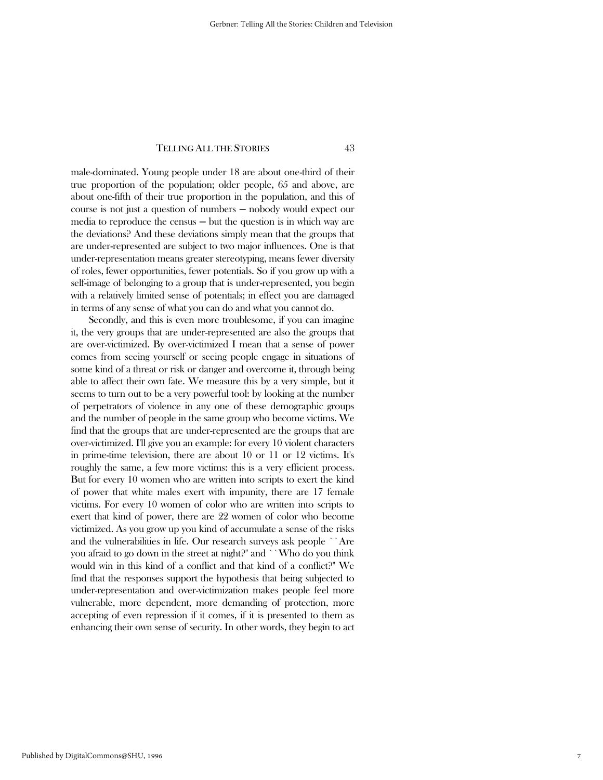male-dominated. Young people under 18 are about one-third of their true proportion of the population; older people, 65 and above, are about one-fifth of their true proportion in the population, and this of course is not just a question of numbers ─ nobody would expect our media to reproduce the census  $-$  but the question is in which way are the deviations? And these deviations simply mean that the groups that are under-represented are subject to two major influences. One is that under-representation means greater stereotyping, means fewer diversity of roles, fewer opportunities, fewer potentials. So if you grow up with a self-image of belonging to a group that is under-represented, you begin with a relatively limited sense of potentials; in effect you are damaged in terms of any sense of what you can do and what you cannot do.

 Secondly, and this is even more troublesome, if you can imagine it, the very groups that are under-represented are also the groups that are over-victimized. By over-victimized I mean that a sense of power comes from seeing yourself or seeing people engage in situations of some kind of a threat or risk or danger and overcome it, through being able to affect their own fate. We measure this by a very simple, but it seems to turn out to be a very powerful tool: by looking at the number of perpetrators of violence in any one of these demographic groups and the number of people in the same group who become victims. We find that the groups that are under-represented are the groups that are over-victimized. I'll give you an example: for every 10 violent characters in prime-time television, there are about 10 or 11 or 12 victims. It's roughly the same, a few more victims: this is a very efficient process. But for every 10 women who are written into scripts to exert the kind of power that white males exert with impunity, there are 17 female victims. For every 10 women of color who are written into scripts to exert that kind of power, there are 22 women of color who become victimized. As you grow up you kind of accumulate a sense of the risks and the vulnerabilities in life. Our research surveys ask people ``Are you afraid to go down in the street at night?'' and ``Who do you think would win in this kind of a conflict and that kind of a conflict?'' We find that the responses support the hypothesis that being subjected to under-representation and over-victimization makes people feel more vulnerable, more dependent, more demanding of protection, more accepting of even repression if it comes, if it is presented to them as enhancing their own sense of security. In other words, they begin to act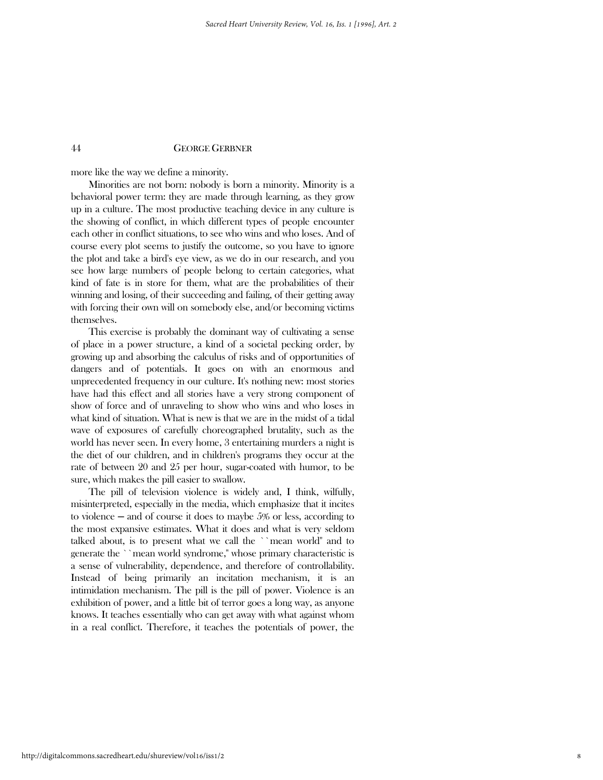more like the way we define a minority.

 Minorities are not born: nobody is born a minority. Minority is a behavioral power term: they are made through learning, as they grow up in a culture. The most productive teaching device in any culture is the showing of conflict, in which different types of people encounter each other in conflict situations, to see who wins and who loses. And of course every plot seems to justify the outcome, so you have to ignore the plot and take a bird's eye view, as we do in our research, and you see how large numbers of people belong to certain categories, what kind of fate is in store for them, what are the probabilities of their winning and losing, of their succeeding and failing, of their getting away with forcing their own will on somebody else, and/or becoming victims themselves.

 This exercise is probably the dominant way of cultivating a sense of place in a power structure, a kind of a societal pecking order, by growing up and absorbing the calculus of risks and of opportunities of dangers and of potentials. It goes on with an enormous and unprecedented frequency in our culture. It's nothing new: most stories have had this effect and all stories have a very strong component of show of force and of unraveling to show who wins and who loses in what kind of situation. What is new is that we are in the midst of a tidal wave of exposures of carefully choreographed brutality, such as the world has never seen. In every home, 3 entertaining murders a night is the diet of our children, and in children's programs they occur at the rate of between 20 and 25 per hour, sugar-coated with humor, to be sure, which makes the pill easier to swallow.

 The pill of television violence is widely and, I think, wilfully, misinterpreted, especially in the media, which emphasize that it incites to violence  $-$  and of course it does to maybe 5% or less, according to the most expansive estimates. What it does and what is very seldom talked about, is to present what we call the ``mean world'' and to generate the ``mean world syndrome,'' whose primary characteristic is a sense of vulnerability, dependence, and therefore of controllability. Instead of being primarily an incitation mechanism, it is an intimidation mechanism. The pill is the pill of power. Violence is an exhibition of power, and a little bit of terror goes a long way, as anyone knows. It teaches essentially who can get away with what against whom in a real conflict. Therefore, it teaches the potentials of power, the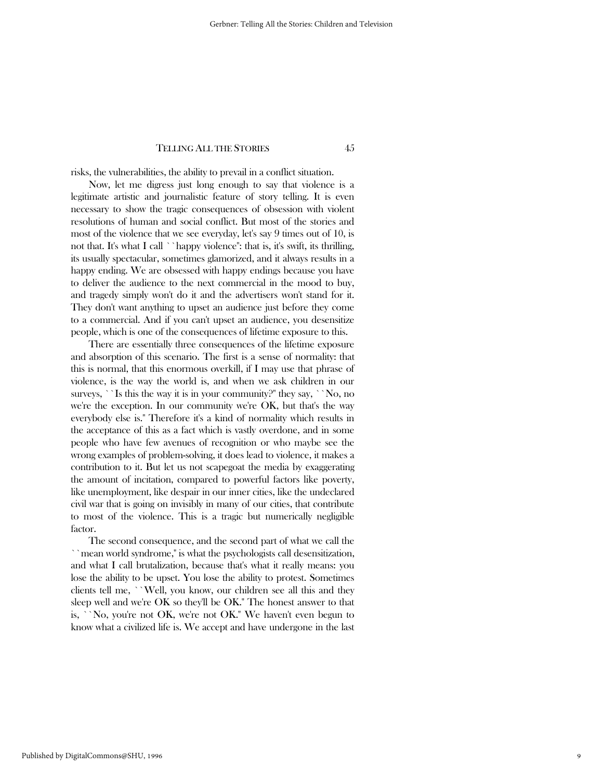risks, the vulnerabilities, the ability to prevail in a conflict situation.

 Now, let me digress just long enough to say that violence is a legitimate artistic and journalistic feature of story telling. It is even necessary to show the tragic consequences of obsession with violent resolutions of human and social conflict. But most of the stories and most of the violence that we see everyday, let's say 9 times out of 10, is not that. It's what I call ``happy violence'': that is, it's swift, its thrilling, its usually spectacular, sometimes glamorized, and it always results in a happy ending. We are obsessed with happy endings because you have to deliver the audience to the next commercial in the mood to buy, and tragedy simply won't do it and the advertisers won't stand for it. They don't want anything to upset an audience just before they come to a commercial. And if you can't upset an audience, you desensitize people, which is one of the consequences of lifetime exposure to this.

 There are essentially three consequences of the lifetime exposure and absorption of this scenario. The first is a sense of normality: that this is normal, that this enormous overkill, if I may use that phrase of violence, is the way the world is, and when we ask children in our surveys, ``Is this the way it is in your community?" they say, ``No, no we're the exception. In our community we're OK, but that's the way everybody else is.'' Therefore it's a kind of normality which results in the acceptance of this as a fact which is vastly overdone, and in some people who have few avenues of recognition or who maybe see the wrong examples of problem-solving, it does lead to violence, it makes a contribution to it. But let us not scapegoat the media by exaggerating the amount of incitation, compared to powerful factors like poverty, like unemployment, like despair in our inner cities, like the undeclared civil war that is going on invisibly in many of our cities, that contribute to most of the violence. This is a tragic but numerically negligible factor.

 The second consequence, and the second part of what we call the ``mean world syndrome,'' is what the psychologists call desensitization, and what I call brutalization, because that's what it really means: you lose the ability to be upset. You lose the ability to protest. Sometimes clients tell me, ``Well, you know, our children see all this and they sleep well and we're OK so they'll be OK.'' The honest answer to that is, ``No, you're not OK, we're not OK.'' We haven't even begun to know what a civilized life is. We accept and have undergone in the last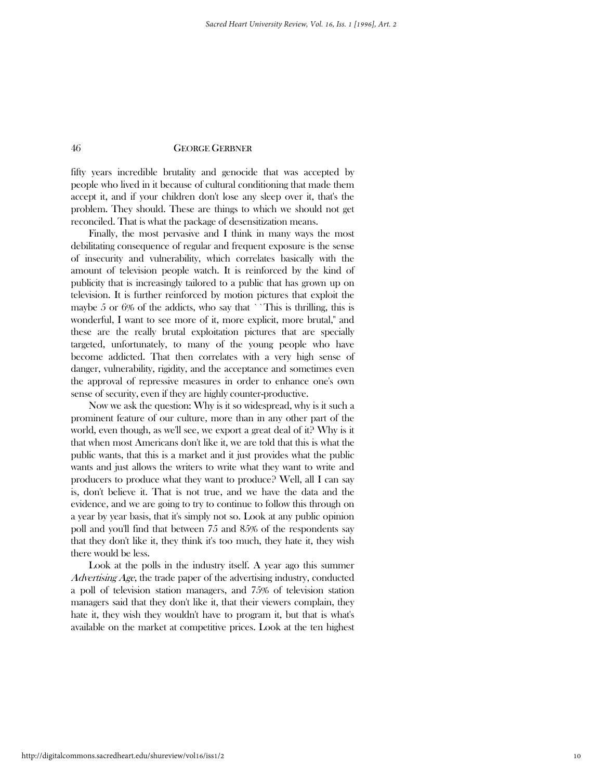fifty years incredible brutality and genocide that was accepted by people who lived in it because of cultural conditioning that made them accept it, and if your children don't lose any sleep over it, that's the problem. They should. These are things to which we should not get reconciled. That is what the package of desensitization means.

 Finally, the most pervasive and I think in many ways the most debilitating consequence of regular and frequent exposure is the sense of insecurity and vulnerability, which correlates basically with the amount of television people watch. It is reinforced by the kind of publicity that is increasingly tailored to a public that has grown up on television. It is further reinforced by motion pictures that exploit the maybe 5 or 6% of the addicts, who say that ``This is thrilling, this is wonderful, I want to see more of it, more explicit, more brutal,'' and these are the really brutal exploitation pictures that are specially targeted, unfortunately, to many of the young people who have become addicted. That then correlates with a very high sense of danger, vulnerability, rigidity, and the acceptance and sometimes even the approval of repressive measures in order to enhance one's own sense of security, even if they are highly counter-productive.

 Now we ask the question: Why is it so widespread, why is it such a prominent feature of our culture, more than in any other part of the world, even though, as we'll see, we export a great deal of it? Why is it that when most Americans don't like it, we are told that this is what the public wants, that this is a market and it just provides what the public wants and just allows the writers to write what they want to write and producers to produce what they want to produce? Well, all I can say is, don't believe it. That is not true, and we have the data and the evidence, and we are going to try to continue to follow this through on a year by year basis, that it's simply not so. Look at any public opinion poll and you'll find that between 75 and 85% of the respondents say that they don't like it, they think it's too much, they hate it, they wish there would be less.

 Look at the polls in the industry itself. A year ago this summer Advertising Age, the trade paper of the advertising industry, conducted a poll of television station managers, and 75% of television station managers said that they don't like it, that their viewers complain, they hate it, they wish they wouldn't have to program it, but that is what's available on the market at competitive prices. Look at the ten highest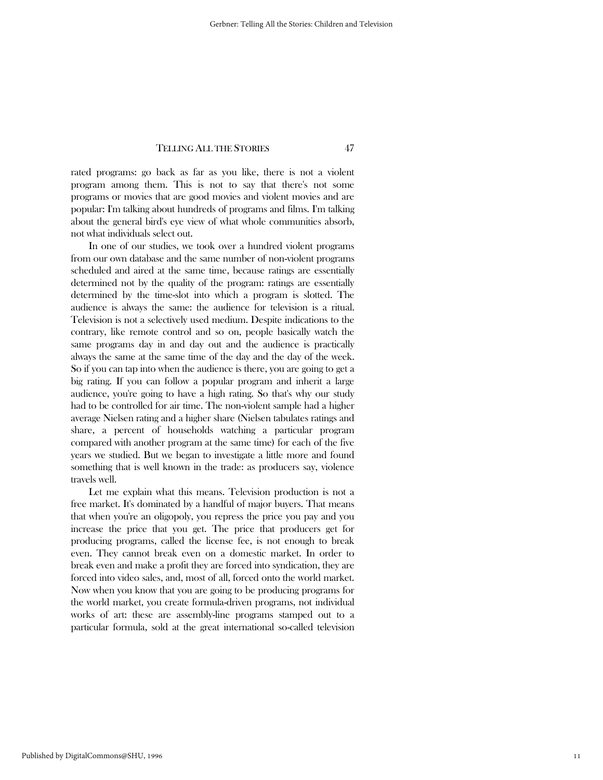rated programs: go back as far as you like, there is not a violent program among them. This is not to say that there's not some programs or movies that are good movies and violent movies and are popular: I'm talking about hundreds of programs and films. I'm talking about the general bird's eye view of what whole communities absorb, not what individuals select out.

 In one of our studies, we took over a hundred violent programs from our own database and the same number of non-violent programs scheduled and aired at the same time, because ratings are essentially determined not by the quality of the program: ratings are essentially determined by the time-slot into which a program is slotted. The audience is always the same: the audience for television is a ritual. Television is not a selectively used medium. Despite indications to the contrary, like remote control and so on, people basically watch the same programs day in and day out and the audience is practically always the same at the same time of the day and the day of the week. So if you can tap into when the audience is there, you are going to get a big rating. If you can follow a popular program and inherit a large audience, you're going to have a high rating. So that's why our study had to be controlled for air time. The non-violent sample had a higher average Nielsen rating and a higher share (Nielsen tabulates ratings and share, a percent of households watching a particular program compared with another program at the same time) for each of the five years we studied. But we began to investigate a little more and found something that is well known in the trade: as producers say, violence travels well.

 Let me explain what this means. Television production is not a free market. It's dominated by a handful of major buyers. That means that when you're an oligopoly, you repress the price you pay and you increase the price that you get. The price that producers get for producing programs, called the license fee, is not enough to break even. They cannot break even on a domestic market. In order to break even and make a profit they are forced into syndication, they are forced into video sales, and, most of all, forced onto the world market. Now when you know that you are going to be producing programs for the world market, you create formula-driven programs, not individual works of art: these are assembly-line programs stamped out to a particular formula, sold at the great international so-called television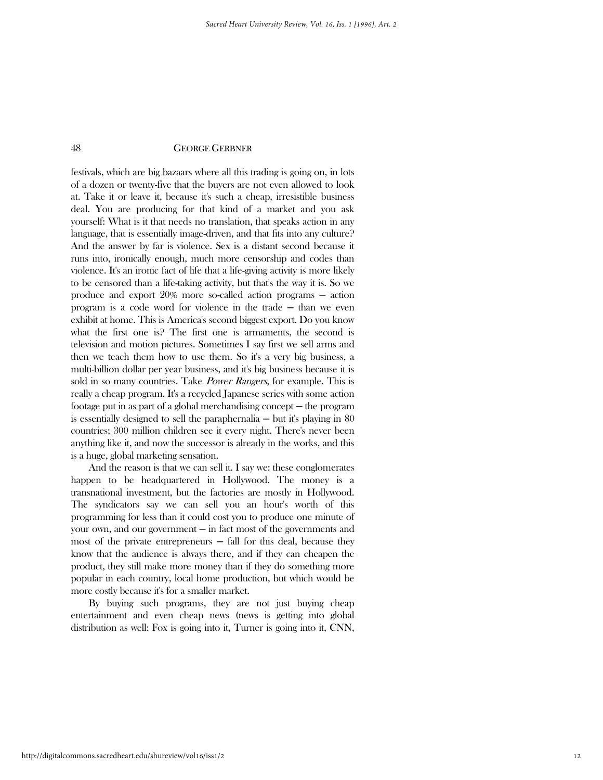festivals, which are big bazaars where all this trading is going on, in lots of a dozen or twenty-five that the buyers are not even allowed to look at. Take it or leave it, because it's such a cheap, irresistible business deal. You are producing for that kind of a market and you ask yourself: What is it that needs no translation, that speaks action in any language, that is essentially image-driven, and that fits into any culture? And the answer by far is violence. Sex is a distant second because it runs into, ironically enough, much more censorship and codes than violence. It's an ironic fact of life that a life-giving activity is more likely to be censored than a life-taking activity, but that's the way it is. So we produce and export 20% more so-called action programs ─ action program is a code word for violence in the trade ─ than we even exhibit at home. This is America's second biggest export. Do you know what the first one is? The first one is armaments, the second is television and motion pictures. Sometimes I say first we sell arms and then we teach them how to use them. So it's a very big business, a multi-billion dollar per year business, and it's big business because it is sold in so many countries. Take *Power Rangers*, for example. This is really a cheap program. It's a recycled Japanese series with some action footage put in as part of a global merchandising concept ─ the program is essentially designed to sell the paraphernalia  $-$  but it's playing in 80 countries; 300 million children see it every night. There's never been anything like it, and now the successor is already in the works, and this is a huge, global marketing sensation.

 And the reason is that we can sell it. I say we: these conglomerates happen to be headquartered in Hollywood. The money is a transnational investment, but the factories are mostly in Hollywood. The syndicators say we can sell you an hour's worth of this programming for less than it could cost you to produce one minute of your own, and our government  $-\text{ in fact most of the governments and}$ most of the private entrepreneurs  $-$  fall for this deal, because they know that the audience is always there, and if they can cheapen the product, they still make more money than if they do something more popular in each country, local home production, but which would be more costly because it's for a smaller market.

 By buying such programs, they are not just buying cheap entertainment and even cheap news (news is getting into global distribution as well: Fox is going into it, Turner is going into it, CNN,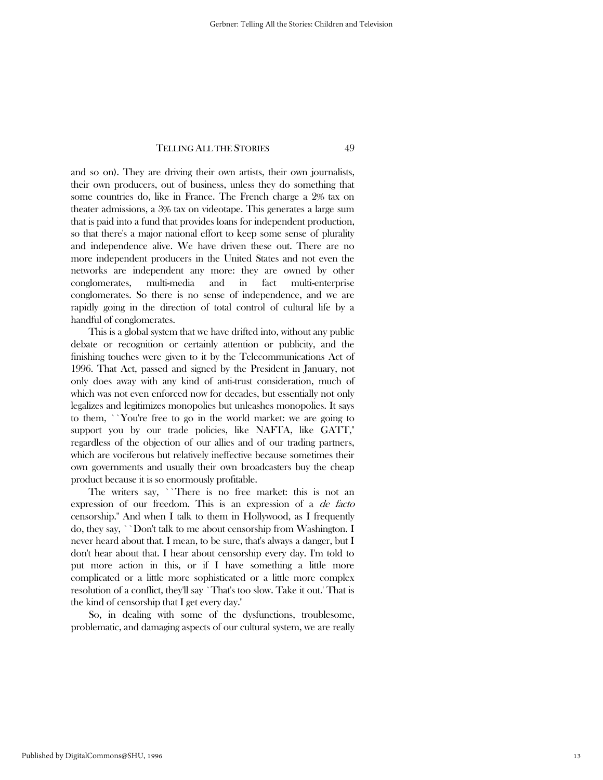and so on). They are driving their own artists, their own journalists, their own producers, out of business, unless they do something that some countries do, like in France. The French charge a 2% tax on theater admissions, a 3% tax on videotape. This generates a large sum that is paid into a fund that provides loans for independent production, so that there's a major national effort to keep some sense of plurality and independence alive. We have driven these out. There are no more independent producers in the United States and not even the networks are independent any more: they are owned by other conglomerates, multi-media and in fact multi-enterprise conglomerates. So there is no sense of independence, and we are rapidly going in the direction of total control of cultural life by a handful of conglomerates.

 This is a global system that we have drifted into, without any public debate or recognition or certainly attention or publicity, and the finishing touches were given to it by the Telecommunications Act of 1996. That Act, passed and signed by the President in January, not only does away with any kind of anti-trust consideration, much of which was not even enforced now for decades, but essentially not only legalizes and legitimizes monopolies but unleashes monopolies. It says to them, ``You're free to go in the world market: we are going to support you by our trade policies, like NAFTA, like GATT," regardless of the objection of our allies and of our trading partners, which are vociferous but relatively ineffective because sometimes their own governments and usually their own broadcasters buy the cheap product because it is so enormously profitable.

 The writers say, ``There is no free market: this is not an expression of our freedom. This is an expression of a *de facto* censorship.'' And when I talk to them in Hollywood, as I frequently do, they say, ``Don't talk to me about censorship from Washington. I never heard about that. I mean, to be sure, that's always a danger, but I don't hear about that. I hear about censorship every day. I'm told to put more action in this, or if I have something a little more complicated or a little more sophisticated or a little more complex resolution of a conflict, they'll say `That's too slow. Take it out.' That is the kind of censorship that I get every day.''

 So, in dealing with some of the dysfunctions, troublesome, problematic, and damaging aspects of our cultural system, we are really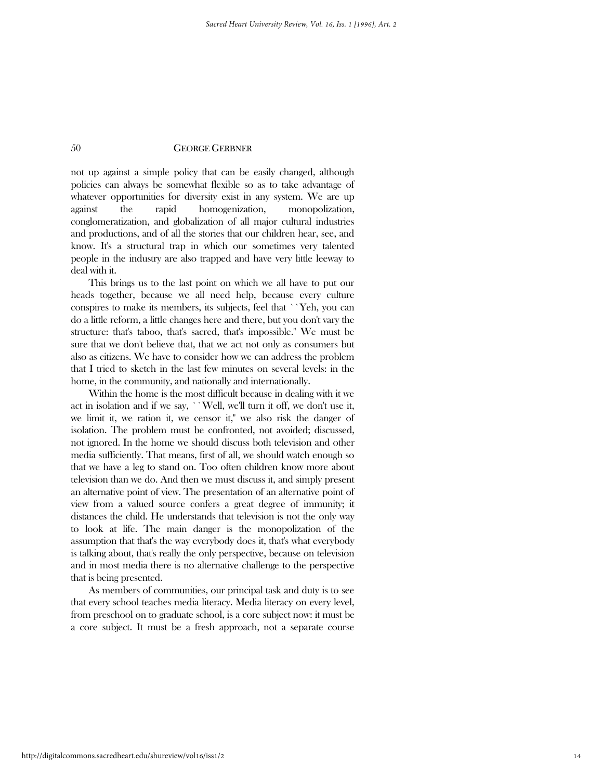not up against a simple policy that can be easily changed, although policies can always be somewhat flexible so as to take advantage of whatever opportunities for diversity exist in any system. We are up against the rapid homogenization, monopolization, conglomeratization, and globalization of all major cultural industries and productions, and of all the stories that our children hear, see, and know. It's a structural trap in which our sometimes very talented people in the industry are also trapped and have very little leeway to deal with it.

 This brings us to the last point on which we all have to put our heads together, because we all need help, because every culture conspires to make its members, its subjects, feel that ``Yeh, you can do a little reform, a little changes here and there, but you don't vary the structure: that's taboo, that's sacred, that's impossible.'' We must be sure that we don't believe that, that we act not only as consumers but also as citizens. We have to consider how we can address the problem that I tried to sketch in the last few minutes on several levels: in the home, in the community, and nationally and internationally.

 Within the home is the most difficult because in dealing with it we act in isolation and if we say, ``Well, we'll turn it off, we don't use it, we limit it, we ration it, we censor it,'' we also risk the danger of isolation. The problem must be confronted, not avoided; discussed, not ignored. In the home we should discuss both television and other media sufficiently. That means, first of all, we should watch enough so that we have a leg to stand on. Too often children know more about television than we do. And then we must discuss it, and simply present an alternative point of view. The presentation of an alternative point of view from a valued source confers a great degree of immunity; it distances the child. He understands that television is not the only way to look at life. The main danger is the monopolization of the assumption that that's the way everybody does it, that's what everybody is talking about, that's really the only perspective, because on television and in most media there is no alternative challenge to the perspective that is being presented.

 As members of communities, our principal task and duty is to see that every school teaches media literacy. Media literacy on every level, from preschool on to graduate school, is a core subject now: it must be a core subject. It must be a fresh approach, not a separate course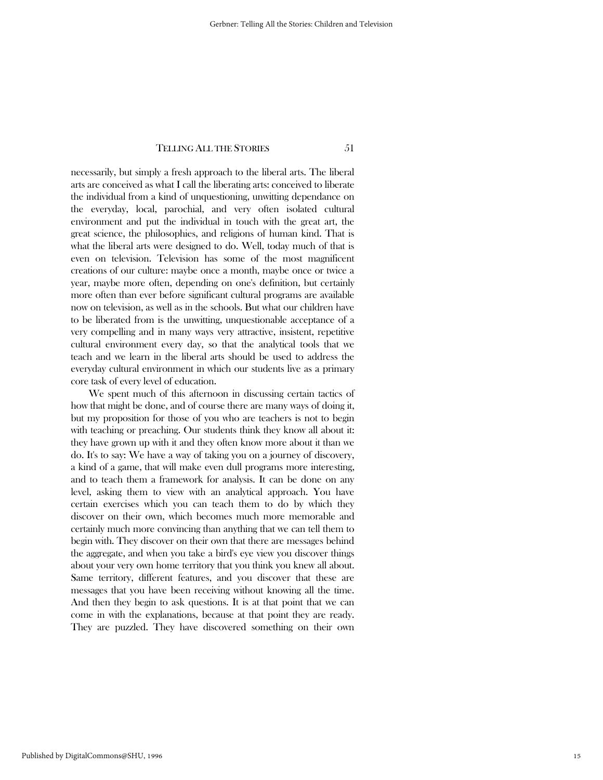necessarily, but simply a fresh approach to the liberal arts. The liberal arts are conceived as what I call the liberating arts: conceived to liberate the individual from a kind of unquestioning, unwitting dependance on the everyday, local, parochial, and very often isolated cultural environment and put the individual in touch with the great art, the great science, the philosophies, and religions of human kind. That is what the liberal arts were designed to do. Well, today much of that is even on television. Television has some of the most magnificent creations of our culture: maybe once a month, maybe once or twice a year, maybe more often, depending on one's definition, but certainly more often than ever before significant cultural programs are available now on television, as well as in the schools. But what our children have to be liberated from is the unwitting, unquestionable acceptance of a very compelling and in many ways very attractive, insistent, repetitive cultural environment every day, so that the analytical tools that we teach and we learn in the liberal arts should be used to address the everyday cultural environment in which our students live as a primary core task of every level of education.

 We spent much of this afternoon in discussing certain tactics of how that might be done, and of course there are many ways of doing it, but my proposition for those of you who are teachers is not to begin with teaching or preaching. Our students think they know all about it: they have grown up with it and they often know more about it than we do. It's to say: We have a way of taking you on a journey of discovery, a kind of a game, that will make even dull programs more interesting, and to teach them a framework for analysis. It can be done on any level, asking them to view with an analytical approach. You have certain exercises which you can teach them to do by which they discover on their own, which becomes much more memorable and certainly much more convincing than anything that we can tell them to begin with. They discover on their own that there are messages behind the aggregate, and when you take a bird's eye view you discover things about your very own home territory that you think you knew all about. Same territory, different features, and you discover that these are messages that you have been receiving without knowing all the time. And then they begin to ask questions. It is at that point that we can come in with the explanations, because at that point they are ready. They are puzzled. They have discovered something on their own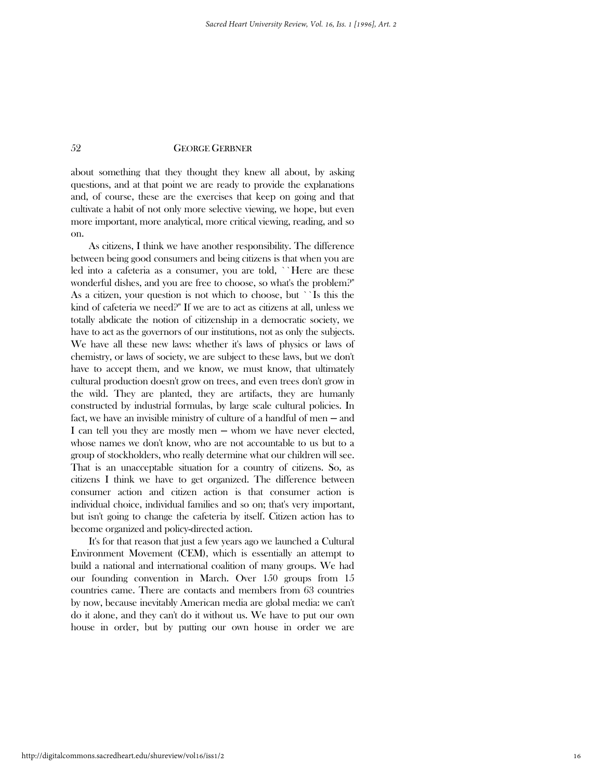about something that they thought they knew all about, by asking questions, and at that point we are ready to provide the explanations and, of course, these are the exercises that keep on going and that cultivate a habit of not only more selective viewing, we hope, but even more important, more analytical, more critical viewing, reading, and so on.

 As citizens, I think we have another responsibility. The difference between being good consumers and being citizens is that when you are led into a cafeteria as a consumer, you are told, ``Here are these wonderful dishes, and you are free to choose, so what's the problem?'' As a citizen, your question is not which to choose, but ``Is this the kind of cafeteria we need?'' If we are to act as citizens at all, unless we totally abdicate the notion of citizenship in a democratic society, we have to act as the governors of our institutions, not as only the subjects. We have all these new laws: whether it's laws of physics or laws of chemistry, or laws of society, we are subject to these laws, but we don't have to accept them, and we know, we must know, that ultimately cultural production doesn't grow on trees, and even trees don't grow in the wild. They are planted, they are artifacts, they are humanly constructed by industrial formulas, by large scale cultural policies. In fact, we have an invisible ministry of culture of a handful of men — and I can tell you they are mostly men — whom we have never elected, whose names we don't know, who are not accountable to us but to a group of stockholders, who really determine what our children will see. That is an unacceptable situation for a country of citizens. So, as citizens I think we have to get organized. The difference between consumer action and citizen action is that consumer action is individual choice, individual families and so on; that's very important, but isn't going to change the cafeteria by itself. Citizen action has to become organized and policy-directed action.

 It's for that reason that just a few years ago we launched a Cultural Environment Movement (CEM), which is essentially an attempt to build a national and international coalition of many groups. We had our founding convention in March. Over 150 groups from 15 countries came. There are contacts and members from 63 countries by now, because inevitably American media are global media: we can't do it alone, and they can't do it without us. We have to put our own house in order, but by putting our own house in order we are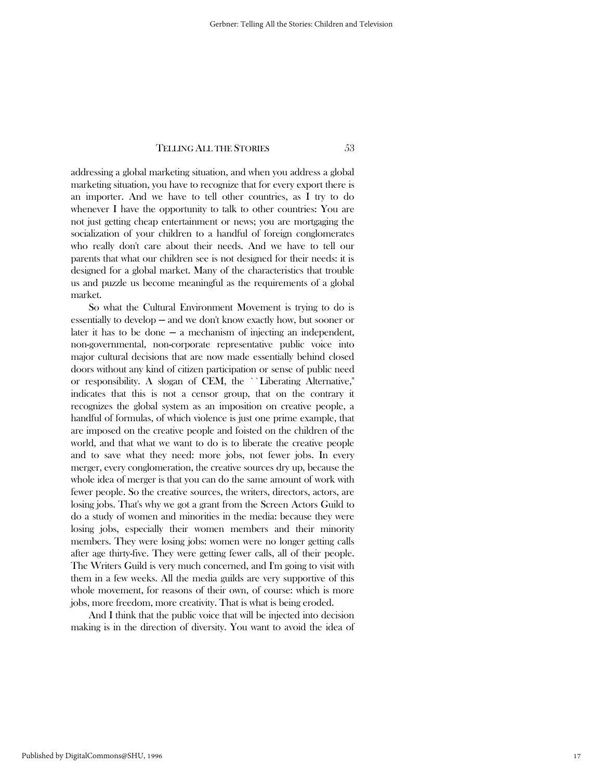addressing a global marketing situation, and when you address a global marketing situation, you have to recognize that for every export there is an importer. And we have to tell other countries, as I try to do whenever I have the opportunity to talk to other countries: You are not just getting cheap entertainment or news; you are mortgaging the socialization of your children to a handful of foreign conglomerates who really don't care about their needs. And we have to tell our parents that what our children see is not designed for their needs: it is designed for a global market. Many of the characteristics that trouble us and puzzle us become meaningful as the requirements of a global market.

 So what the Cultural Environment Movement is trying to do is essentially to develop ─ and we don't know exactly how, but sooner or later it has to be done  $-$  a mechanism of injecting an independent, non-governmental, non-corporate representative public voice into major cultural decisions that are now made essentially behind closed doors without any kind of citizen participation or sense of public need or responsibility. A slogan of CEM, the ``Liberating Alternative,'' indicates that this is not a censor group, that on the contrary it recognizes the global system as an imposition on creative people, a handful of formulas, of which violence is just one prime example, that are imposed on the creative people and foisted on the children of the world, and that what we want to do is to liberate the creative people and to save what they need: more jobs, not fewer jobs. In every merger, every conglomeration, the creative sources dry up, because the whole idea of merger is that you can do the same amount of work with fewer people. So the creative sources, the writers, directors, actors, are losing jobs. That's why we got a grant from the Screen Actors Guild to do a study of women and minorities in the media: because they were losing jobs, especially their women members and their minority members. They were losing jobs: women were no longer getting calls after age thirty-five. They were getting fewer calls, all of their people. The Writers Guild is very much concerned, and I'm going to visit with them in a few weeks. All the media guilds are very supportive of this whole movement, for reasons of their own, of course: which is more jobs, more freedom, more creativity. That is what is being eroded.

 And I think that the public voice that will be injected into decision making is in the direction of diversity. You want to avoid the idea of